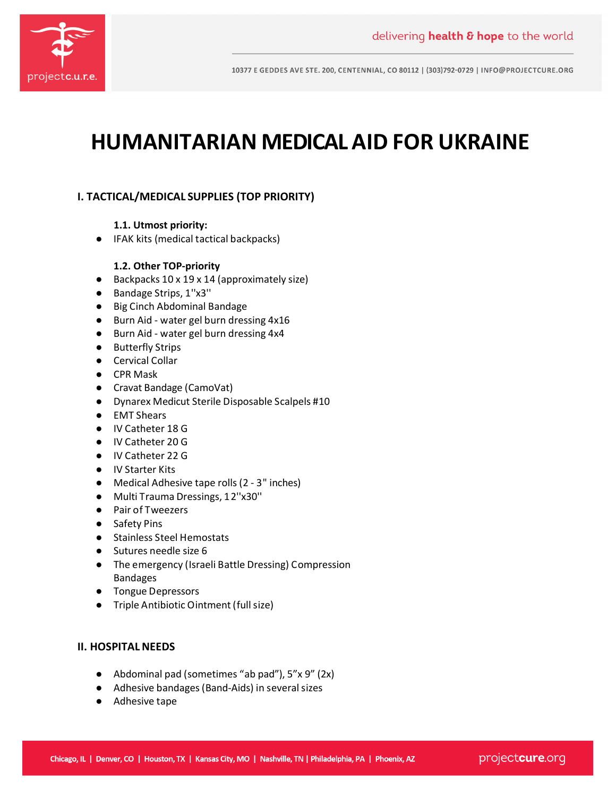

10377 E GEDDES AVE STE. 200, CENTENNIAL, CO 80112 | (303)792-0729 | INFO@PROJECTCURE.ORG

# **HUMANITARIAN MEDICAL AID FOR UKRAINE**

## **I. TACTICAL/MEDICAL SUPPLIES (TOP PRIORITY)**

#### **1.1. Utmost priority:**

● IFAK kits (medical tactical backpacks)

### **1.2. Other TOP-priority**

- Backpacks 10 x 19 x 14 (approximately size)
- Bandage Strips, 1"x3"
- Big Cinch Abdominal Bandage
- Burn Aid water gel burn dressing 4x16
- Burn Aid water gel burn dressing 4x4
- Butterfly Strips
- Cervical Collar
- CPR Mask
- Cravat Bandage (CamoVat)
- Dynarex Medicut Sterile Disposable Scalpels #10
- EMT Shears
- IV Catheter 18 G
- IV Catheter 20 G
- IV Catheter 22 G
- IV Starter Kits
- Medical Adhesive tape rolls (2 3" inches)
- Multi Trauma Dressings, 12''x30''
- Pair of Tweezers
- Safety Pins
- Stainless Steel Hemostats
- Sutures needle size 6
- The emergency (Israeli Battle Dressing) Compression Bandages
- Tongue Depressors
- Triple Antibiotic Ointment (full size)

#### **II. HOSPITAL NEEDS**

- Abdominal pad (sometimes "ab pad"), 5"x 9" (2x)
- Adhesive bandages (Band-Aids) in several sizes
- Adhesive tape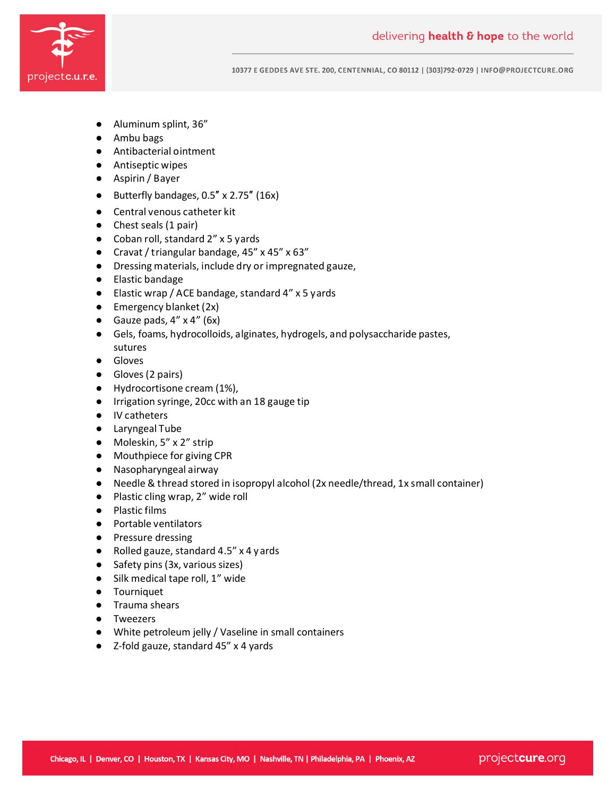

10377 E GEDDES AVE STE. 200, CENTENNIAL, CO 80112 | (303)792-0729 | INFO@PROJECTCURE.ORG

- Aluminum splint, 36"
- Ambu bags
- Antibacterial ointment
- Antiseptic wipes
- Aspirin / Bayer
- Butterfly bandages, 0.5″ x 2.75″ (16x)
- Central venous catheter kit
- Chest seals (1 pair)
- Coban roll, standard 2" x 5 yards
- Cravat / triangular bandage, 45" x 45" x 63"
- Dressing materials, include dry or impregnated gauze,
- Elastic bandage
- Elastic wrap / ACE bandage, standard 4" x 5 yards
- Emergency blanket (2x)
- Gauze pads,  $4'' \times 4''$  (6x)
- Gels, foams, hydrocolloids, alginates, hydrogels, and polysaccharide pastes, sutures
- Gloves
- Gloves (2 pairs)
- Hydrocortisone cream (1%),
- Irrigation syringe, 20cc with an 18 gauge tip
- IV catheters
- Laryngeal Tube
- Moleskin, 5" x 2" strip
- Mouthpiece for giving CPR
- Nasopharyngeal airway
- Needle & thread stored in isopropyl alcohol (2x needle/thread, 1x small container)
- Plastic cling wrap, 2" wide roll
- Plastic films
- Portable ventilators
- Pressure dressing
- Rolled gauze, standard 4.5" x 4 yards
- Safety pins (3x, various sizes)
- Silk medical tape roll, 1" wide
- Tourniquet
- Trauma shears
- Tweezers
- White petroleum jelly / Vaseline in small containers
- Z-fold gauze, standard 45" x 4 yards